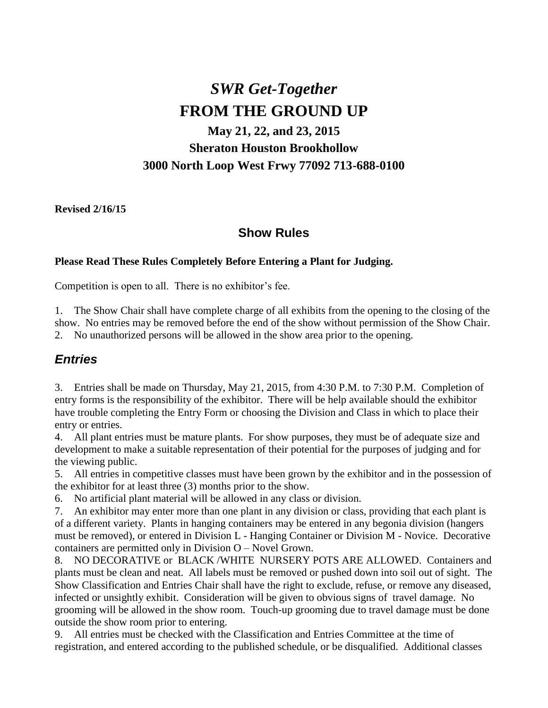# *SWR Get-Together* **FROM THE GROUND UP**

## **May 21, 22, and 23, 2015 Sheraton Houston Brookhollow 3000 North Loop West Frwy 77092 713-688-0100**

**Revised 2/16/15**

### **Show Rules**

#### **Please Read These Rules Completely Before Entering a Plant for Judging.**

Competition is open to all. There is no exhibitor's fee.

1. The Show Chair shall have complete charge of all exhibits from the opening to the closing of the show. No entries may be removed before the end of the show without permission of the Show Chair. 2. No unauthorized persons will be allowed in the show area prior to the opening.

#### *Entries*

3. Entries shall be made on Thursday, May 21, 2015, from 4:30 P.M. to 7:30 P.M. Completion of entry forms is the responsibility of the exhibitor. There will be help available should the exhibitor have trouble completing the Entry Form or choosing the Division and Class in which to place their entry or entries.

4. All plant entries must be mature plants. For show purposes, they must be of adequate size and development to make a suitable representation of their potential for the purposes of judging and for the viewing public.

5. All entries in competitive classes must have been grown by the exhibitor and in the possession of the exhibitor for at least three (3) months prior to the show.

6. No artificial plant material will be allowed in any class or division.

7. An exhibitor may enter more than one plant in any division or class, providing that each plant is of a different variety. Plants in hanging containers may be entered in any begonia division (hangers must be removed), or entered in Division L - Hanging Container or Division M - Novice. Decorative containers are permitted only in Division O – Novel Grown.

8. NO DECORATIVE or BLACK /WHITE NURSERY POTS ARE ALLOWED. Containers and plants must be clean and neat. All labels must be removed or pushed down into soil out of sight. The Show Classification and Entries Chair shall have the right to exclude, refuse, or remove any diseased, infected or unsightly exhibit. Consideration will be given to obvious signs of travel damage. No grooming will be allowed in the show room. Touch-up grooming due to travel damage must be done outside the show room prior to entering.

9. All entries must be checked with the Classification and Entries Committee at the time of registration, and entered according to the published schedule, or be disqualified. Additional classes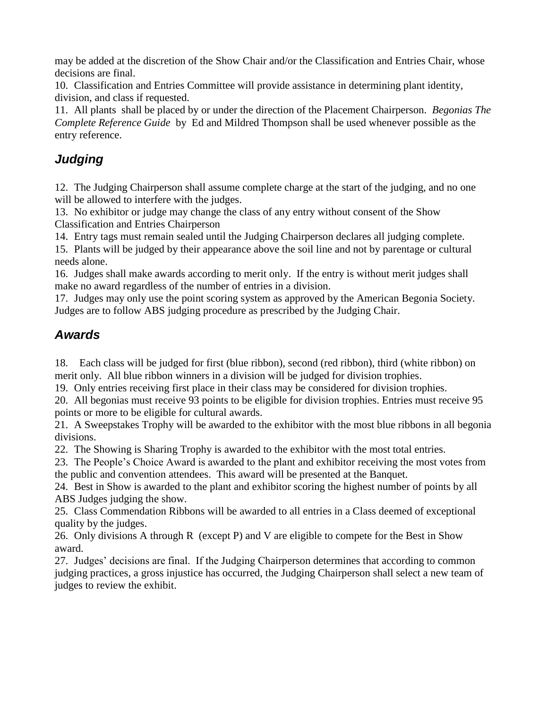may be added at the discretion of the Show Chair and/or the Classification and Entries Chair, whose decisions are final.

10. Classification and Entries Committee will provide assistance in determining plant identity, division, and class if requested.

11. All plants shall be placed by or under the direction of the Placement Chairperson. *Begonias The Complete Reference Guide* by Ed and Mildred Thompson shall be used whenever possible as the entry reference.

## *Judging*

12. The Judging Chairperson shall assume complete charge at the start of the judging, and no one will be allowed to interfere with the judges.

13. No exhibitor or judge may change the class of any entry without consent of the Show Classification and Entries Chairperson

14. Entry tags must remain sealed until the Judging Chairperson declares all judging complete.

15. Plants will be judged by their appearance above the soil line and not by parentage or cultural needs alone.

16. Judges shall make awards according to merit only. If the entry is without merit judges shall make no award regardless of the number of entries in a division.

17. Judges may only use the point scoring system as approved by the American Begonia Society. Judges are to follow ABS judging procedure as prescribed by the Judging Chair.

## *Awards*

18. Each class will be judged for first (blue ribbon), second (red ribbon), third (white ribbon) on merit only. All blue ribbon winners in a division will be judged for division trophies.

19. Only entries receiving first place in their class may be considered for division trophies.

20. All begonias must receive 93 points to be eligible for division trophies. Entries must receive 95 points or more to be eligible for cultural awards.

21. A Sweepstakes Trophy will be awarded to the exhibitor with the most blue ribbons in all begonia divisions.

22. The Showing is Sharing Trophy is awarded to the exhibitor with the most total entries.

23. The People's Choice Award is awarded to the plant and exhibitor receiving the most votes from the public and convention attendees. This award will be presented at the Banquet.

24. Best in Show is awarded to the plant and exhibitor scoring the highest number of points by all ABS Judges judging the show.

25. Class Commendation Ribbons will be awarded to all entries in a Class deemed of exceptional quality by the judges.

26. Only divisions A through R (except P) and V are eligible to compete for the Best in Show award.

27. Judges' decisions are final. If the Judging Chairperson determines that according to common judging practices, a gross injustice has occurred, the Judging Chairperson shall select a new team of judges to review the exhibit.